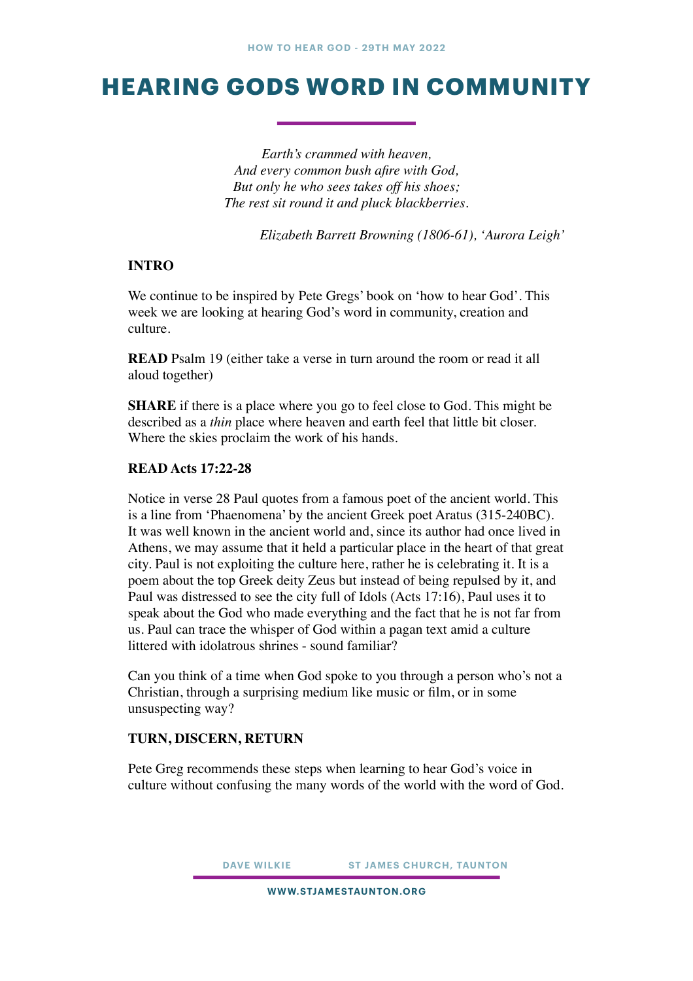# **HEARING GODS WORD IN COMMUNITY**

*Earth's crammed with heaven, And every common bush afire with God, But only he who sees takes off his shoes; The rest sit round it and pluck blackberries.* 

*Elizabeth Barrett Browning (1806-61), 'Aurora Leigh'* 

## **INTRO**

We continue to be inspired by Pete Gregs' book on 'how to hear God'. This week we are looking at hearing God's word in community, creation and culture.

**READ** Psalm 19 (either take a verse in turn around the room or read it all aloud together)

**SHARE** if there is a place where you go to feel close to God. This might be described as a *thin* place where heaven and earth feel that little bit closer. Where the skies proclaim the work of his hands.

## **READ Acts 17:22-28**

Notice in verse 28 Paul quotes from a famous poet of the ancient world. This is a line from 'Phaenomena' by the ancient Greek poet Aratus (315-240BC). It was well known in the ancient world and, since its author had once lived in Athens, we may assume that it held a particular place in the heart of that great city. Paul is not exploiting the culture here, rather he is celebrating it. It is a poem about the top Greek deity Zeus but instead of being repulsed by it, and Paul was distressed to see the city full of Idols (Acts 17:16), Paul uses it to speak about the God who made everything and the fact that he is not far from us. Paul can trace the whisper of God within a pagan text amid a culture littered with idolatrous shrines - sound familiar?

Can you think of a time when God spoke to you through a person who's not a Christian, through a surprising medium like music or film, or in some unsuspecting way?

## **TURN, DISCERN, RETURN**

Pete Greg recommends these steps when learning to hear God's voice in culture without confusing the many words of the world with the word of God.

**DAVE WILKIE ST JAMES CHURCH, TAUNTON**

**WWW.STJAMESTAUNTON.ORG**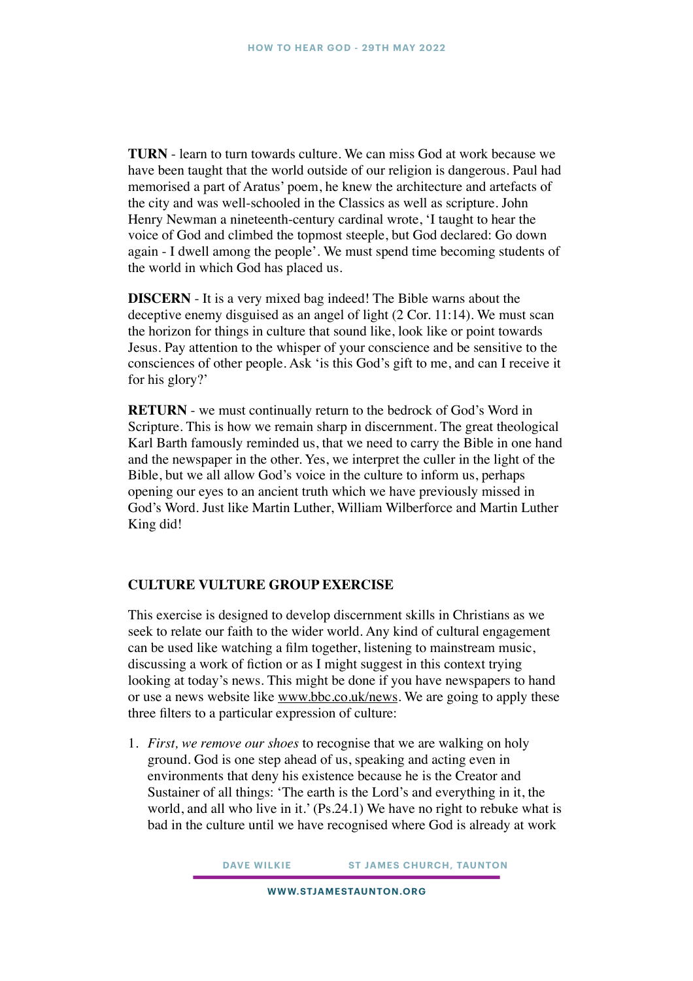**TURN** - learn to turn towards culture. We can miss God at work because we have been taught that the world outside of our religion is dangerous. Paul had memorised a part of Aratus' poem, he knew the architecture and artefacts of the city and was well-schooled in the Classics as well as scripture. John Henry Newman a nineteenth-century cardinal wrote, 'I taught to hear the voice of God and climbed the topmost steeple, but God declared: Go down again - I dwell among the people'. We must spend time becoming students of the world in which God has placed us.

**DISCERN** - It is a very mixed bag indeed! The Bible warns about the deceptive enemy disguised as an angel of light (2 Cor. 11:14). We must scan the horizon for things in culture that sound like, look like or point towards Jesus. Pay attention to the whisper of your conscience and be sensitive to the consciences of other people. Ask 'is this God's gift to me, and can I receive it for his glory?'

**RETURN** - we must continually return to the bedrock of God's Word in Scripture. This is how we remain sharp in discernment. The great theological Karl Barth famously reminded us, that we need to carry the Bible in one hand and the newspaper in the other. Yes, we interpret the culler in the light of the Bible, but we all allow God's voice in the culture to inform us, perhaps opening our eyes to an ancient truth which we have previously missed in God's Word. Just like Martin Luther, William Wilberforce and Martin Luther King did!

### **CULTURE VULTURE GROUP EXERCISE**

This exercise is designed to develop discernment skills in Christians as we seek to relate our faith to the wider world. Any kind of cultural engagement can be used like watching a film together, listening to mainstream music, discussing a work of fiction or as I might suggest in this context trying looking at today's news. This might be done if you have newspapers to hand or use a news website like [www.bbc.co.uk/news.](http://www.bbc.co.uk/news) We are going to apply these three filters to a particular expression of culture:

1. *First, we remove our shoes* to recognise that we are walking on holy ground. God is one step ahead of us, speaking and acting even in environments that deny his existence because he is the Creator and Sustainer of all things: 'The earth is the Lord's and everything in it, the world, and all who live in it.' (Ps.24.1) We have no right to rebuke what is bad in the culture until we have recognised where God is already at work

**DAVE WILKIE ST JAMES CHURCH, TAUNTON**